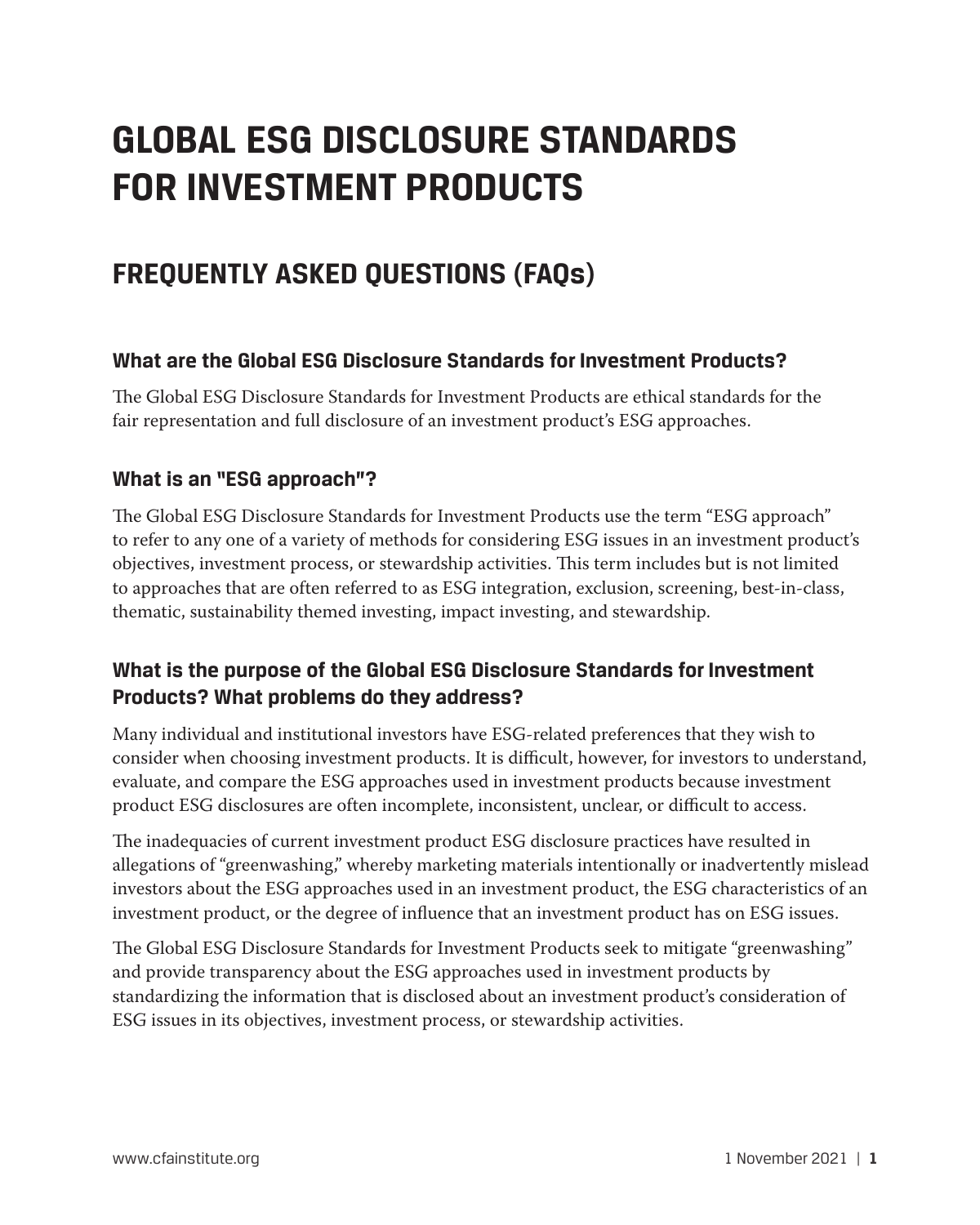# **GLOBAL ESG DISCLOSURE STANDARDS FOR INVESTMENT PRODUCTS**

# **FREQUENTLY ASKED QUESTIONS (FAQs)**

#### **What are the Global ESG Disclosure Standards for Investment Products?**

The Global ESG Disclosure Standards for Investment Products are ethical standards for the fair representation and full disclosure of an investment product's ESG approaches.

#### **What is an "ESG approach"?**

The Global ESG Disclosure Standards for Investment Products use the term "ESG approach" to refer to any one of a variety of methods for considering ESG issues in an investment product's objectives, investment process, or stewardship activities. This term includes but is not limited to approaches that are often referred to as ESG integration, exclusion, screening, best-in-class, thematic, sustainability themed investing, impact investing, and stewardship.

#### **What is the purpose of the Global ESG Disclosure Standards for Investment Products? What problems do they address?**

Many individual and institutional investors have ESG-related preferences that they wish to consider when choosing investment products. It is difficult, however, for investors to understand, evaluate, and compare the ESG approaches used in investment products because investment product ESG disclosures are often incomplete, inconsistent, unclear, or difficult to access.

The inadequacies of current investment product ESG disclosure practices have resulted in allegations of "greenwashing," whereby marketing materials intentionally or inadvertently mislead investors about the ESG approaches used in an investment product, the ESG characteristics of an investment product, or the degree of influence that an investment product has on ESG issues.

The Global ESG Disclosure Standards for Investment Products seek to mitigate "greenwashing" and provide transparency about the ESG approaches used in investment products by standardizing the information that is disclosed about an investment product's consideration of ESG issues in its objectives, investment process, or stewardship activities.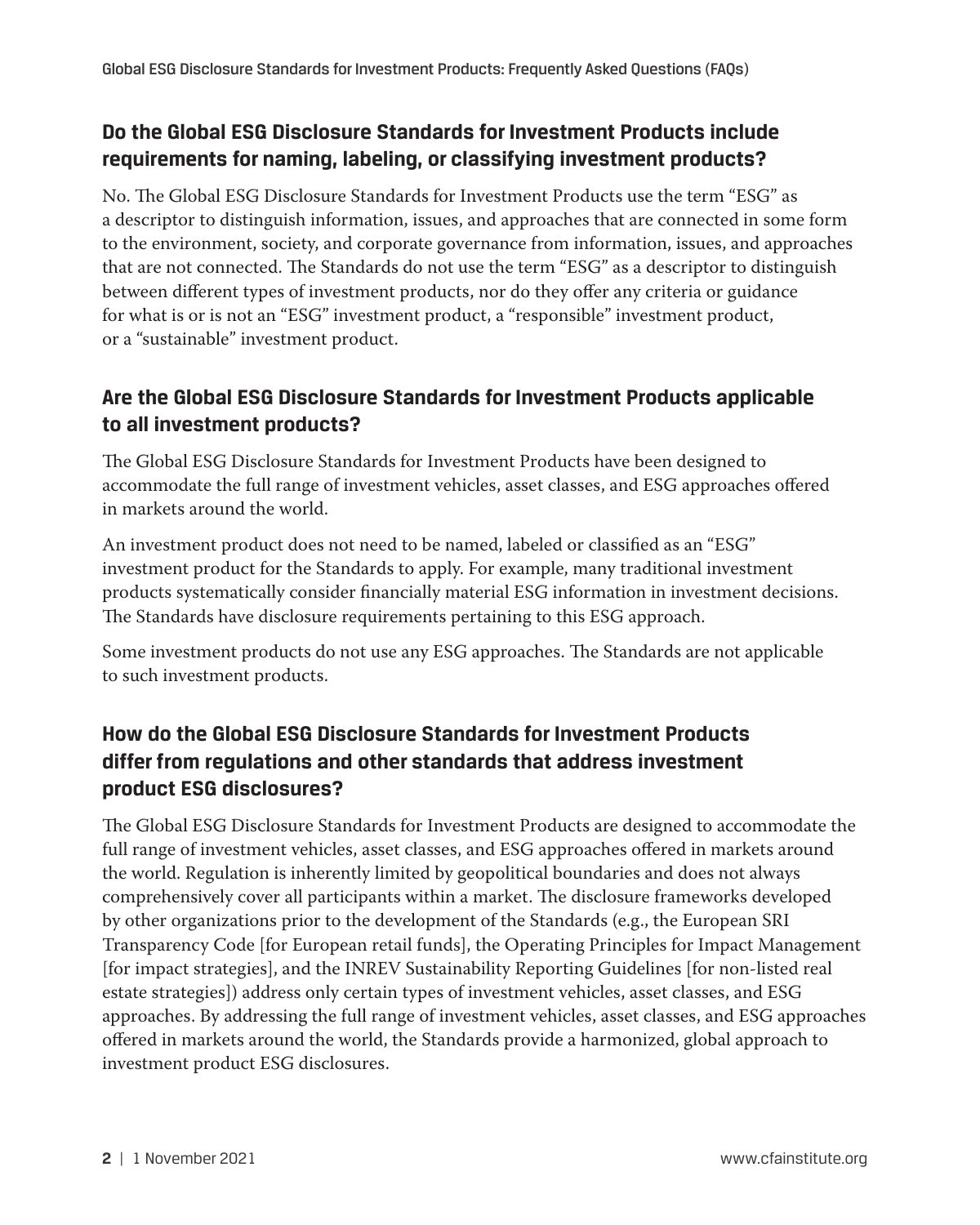#### **Do the Global ESG Disclosure Standards for Investment Products include requirements for naming, labeling, or classifying investment products?**

No. The Global ESG Disclosure Standards for Investment Products use the term "ESG" as a descriptor to distinguish information, issues, and approaches that are connected in some form to the environment, society, and corporate governance from information, issues, and approaches that are not connected. The Standards do not use the term "ESG" as a descriptor to distinguish between different types of investment products, nor do they offer any criteria or guidance for what is or is not an "ESG" investment product, a "responsible" investment product, or a "sustainable" investment product.

#### **Are the Global ESG Disclosure Standards for Investment Products applicable to all investment products?**

The Global ESG Disclosure Standards for Investment Products have been designed to accommodate the full range of investment vehicles, asset classes, and ESG approaches offered in markets around the world.

An investment product does not need to be named, labeled or classified as an "ESG" investment product for the Standards to apply. For example, many traditional investment products systematically consider financially material ESG information in investment decisions. The Standards have disclosure requirements pertaining to this ESG approach.

Some investment products do not use any ESG approaches. The Standards are not applicable to such investment products.

# **How do the Global ESG Disclosure Standards for Investment Products differ from regulations and other standards that address investment product ESG disclosures?**

The Global ESG Disclosure Standards for Investment Products are designed to accommodate the full range of investment vehicles, asset classes, and ESG approaches offered in markets around the world. Regulation is inherently limited by geopolitical boundaries and does not always comprehensively cover all participants within a market. The disclosure frameworks developed by other organizations prior to the development of the Standards (e.g., the European SRI Transparency Code [for European retail funds], the Operating Principles for Impact Management [for impact strategies], and the INREV Sustainability Reporting Guidelines [for non-listed real estate strategies]) address only certain types of investment vehicles, asset classes, and ESG approaches. By addressing the full range of investment vehicles, asset classes, and ESG approaches offered in markets around the world, the Standards provide a harmonized, global approach to investment product ESG disclosures.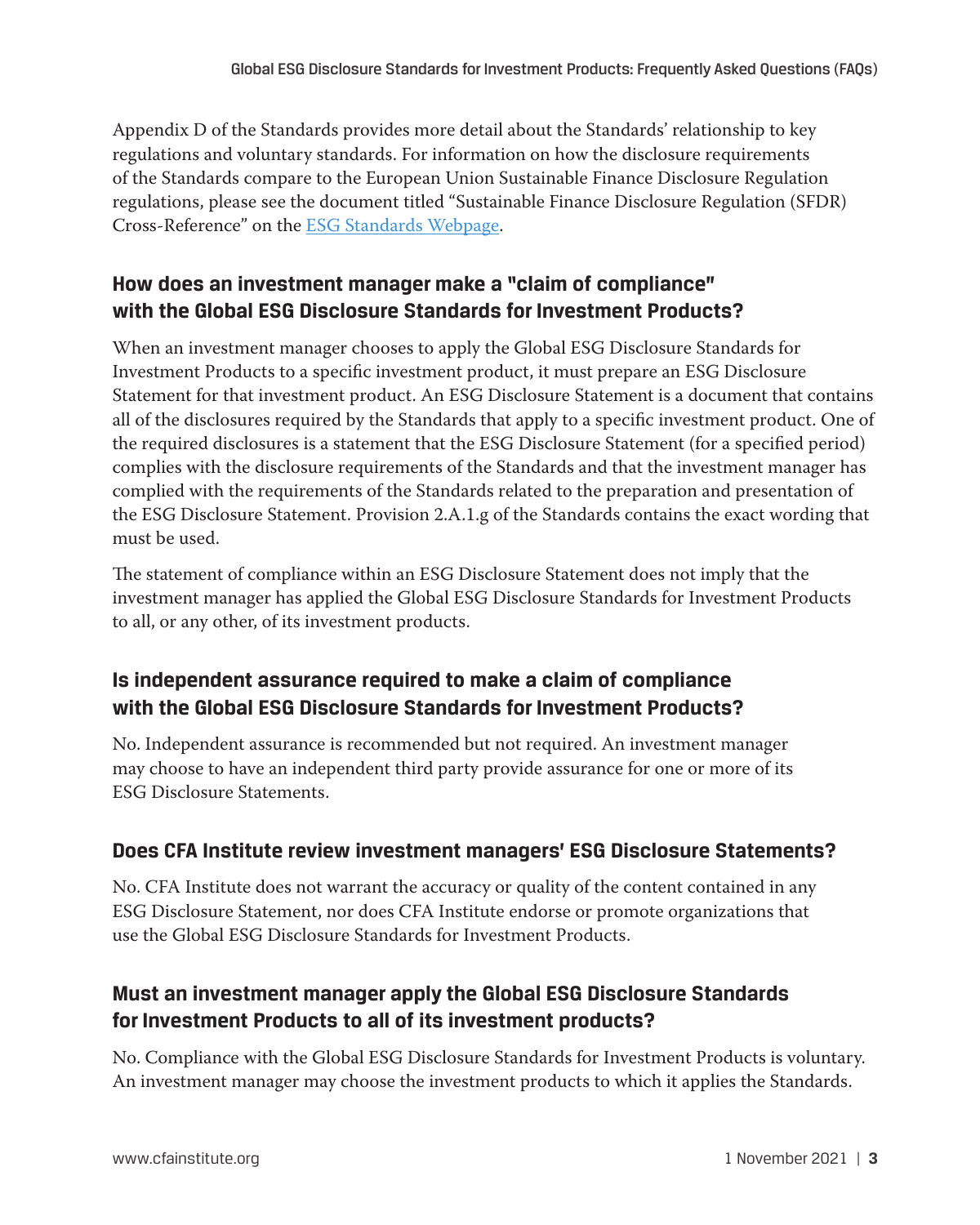Appendix D of the Standards provides more detail about the Standards' relationship to key regulations and voluntary standards. For information on how the disclosure requirements of the Standards compare to the European Union Sustainable Finance Disclosure Regulation regulations, please see the document titled "Sustainable Finance Disclosure Regulation (SFDR) Cross-Reference" on the [ESG Standards Webpage](https://www.cfainstitute.org/en/ethics-standards/codes/esg-standards).

#### **How does an investment manager make a "claim of compliance" with the Global ESG Disclosure Standards for Investment Products?**

When an investment manager chooses to apply the Global ESG Disclosure Standards for Investment Products to a specific investment product, it must prepare an ESG Disclosure Statement for that investment product. An ESG Disclosure Statement is a document that contains all of the disclosures required by the Standards that apply to a specific investment product. One of the required disclosures is a statement that the ESG Disclosure Statement (for a specified period) complies with the disclosure requirements of the Standards and that the investment manager has complied with the requirements of the Standards related to the preparation and presentation of the ESG Disclosure Statement. Provision 2.A.1.g of the Standards contains the exact wording that must be used.

The statement of compliance within an ESG Disclosure Statement does not imply that the investment manager has applied the Global ESG Disclosure Standards for Investment Products to all, or any other, of its investment products.

#### **Is independent assurance required to make a claim of compliance with the Global ESG Disclosure Standards for Investment Products?**

No. Independent assurance is recommended but not required. An investment manager may choose to have an independent third party provide assurance for one or more of its ESG Disclosure Statements.

#### **Does CFA Institute review investment managers' ESG Disclosure Statements?**

No. CFA Institute does not warrant the accuracy or quality of the content contained in any ESG Disclosure Statement, nor does CFA Institute endorse or promote organizations that use the Global ESG Disclosure Standards for Investment Products.

#### **Must an investment manager apply the Global ESG Disclosure Standards for Investment Products to all of its investment products?**

No. Compliance with the Global ESG Disclosure Standards for Investment Products is voluntary. An investment manager may choose the investment products to which it applies the Standards.